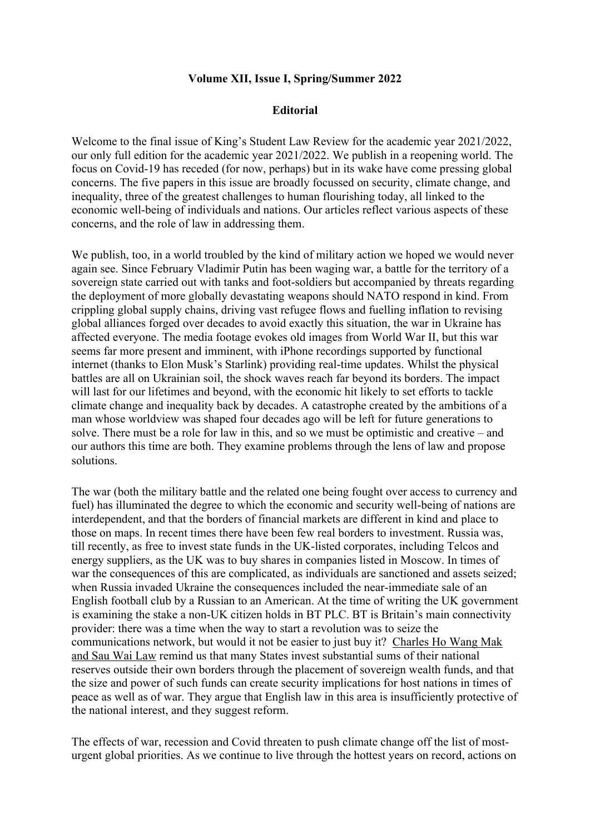## **Volume XII, Issue I, Spring/Summer 2022**

## **Editorial**

Welcome to the final issue of King's Student Law Review for the academic year 2021/2022, our only full edition for the academic year 2021/2022. We publish in a reopening world. The focus on Covid-19 has receded (for now, perhaps) but in its wake have come pressing global concerns. The five papers in this issue are broadly focussed on security, climate change, and inequality, three of the greatest challenges to human flourishing today, all linked to the economic well-being of individuals and nations. Our articles reflect various aspects of these concerns, and the role of law in addressing them.

We publish, too, in a world troubled by the kind of military action we hoped we would never again see. Since February Vladimir Putin has been waging war, a battle for the territory of a sovereign state carried out with tanks and foot-soldiers but accompanied by threats regarding the deployment of more globally devastating weapons should NATO respond in kind. From crippling global supply chains, driving vast refugee flows and fuelling inflation to revising global alliances forged over decades to avoid exactly this situation, the war in Ukraine has affected everyone. The media footage evokes old images from World War II, but this war seems far more present and imminent, with iPhone recordings supported by functional internet (thanks to Elon Musk's Starlink) providing real-time updates. Whilst the physical battles are all on Ukrainian soil, the shock waves reach far beyond its borders. The impact will last for our lifetimes and beyond, with the economic hit likely to set efforts to tackle climate change and inequality back by decades. A catastrophe created by the ambitions of a man whose worldview was shaped four decades ago will be left for future generations to solve. There must be a role for law in this, and so we must be optimistic and creative – and our authors this time are both. They examine problems through the lens of law and propose solutions.

The war (both the military battle and the related one being fought over access to currency and fuel) has illuminated the degree to which the economic and security well-being of nations are interdependent, and that the borders of financial markets are different in kind and place to those on maps. In recent times there have been few real borders to investment. Russia was, till recently, as free to invest state funds in the UK-listed corporates, including Telcos and energy suppliers, as the UK was to buy shares in companies listed in Moscow. In times of war the consequences of this are complicated, as individuals are sanctioned and assets seized; when Russia invaded Ukraine the consequences included the near-immediate sale of an English football club by a Russian to an American. At the time of writing the UK government is examining the stake a non-UK citizen holds in BT PLC. BT is Britain's main connectivity provider: there was a time when the way to start a revolution was to seize the communications network, but would it not be easier to just buy it? Charles Ho Wang Mak and Sau Wai Law remind us that many States invest substantial sums of their national reserves outside their own borders through the placement of sovereign wealth funds, and that the size and power of such funds can create security implications for host nations in times of peace as well as of war. They argue that English law in this area is insufficiently protective of the national interest, and they suggest reform.

The effects of war, recession and Covid threaten to push climate change off the list of mosturgent global priorities. As we continue to live through the hottest years on record, actions on